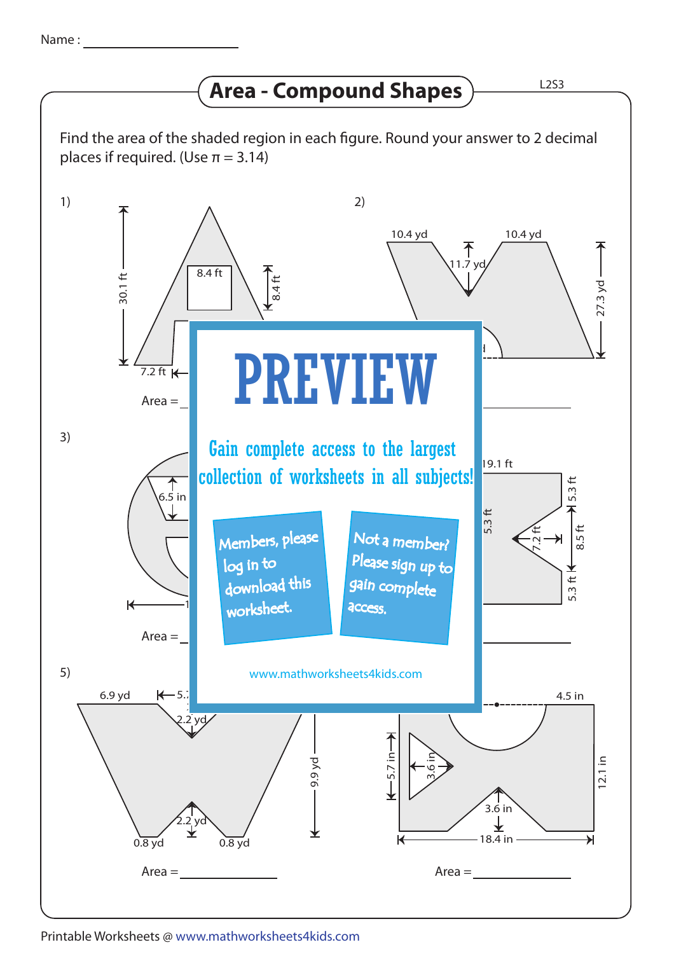## **Area - Compound Shapes**

Find the area of the shaded region in each figure. Round your answer to 2 decimal places if required. (Use  $\pi = 3.14$ )



Printable Worksheets @ www.mathworksheets4kids.com